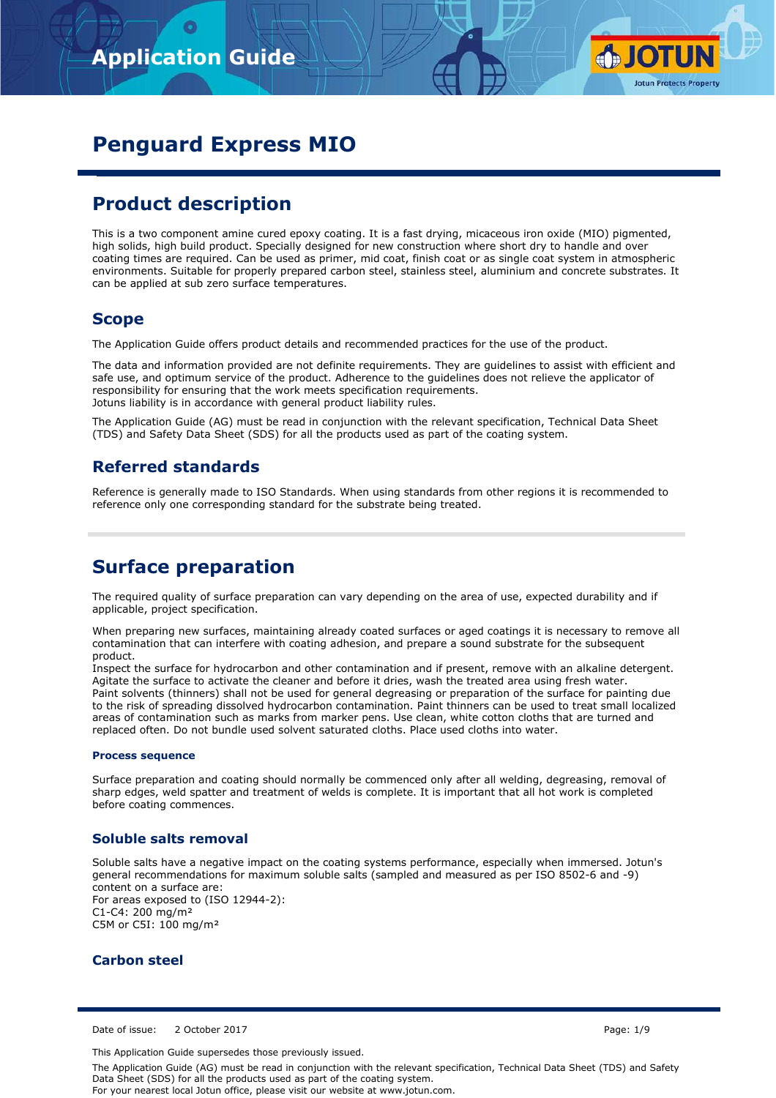

# **Penguard Express MIO**

# **Product description**

This is a two component amine cured epoxy coating. It is a fast drying, micaceous iron oxide (MIO) pigmented, high solids, high build product. Specially designed for new construction where short dry to handle and over coating times are required. Can be used as primer, mid coat, finish coat or as single coat system in atmospheric environments. Suitable for properly prepared carbon steel, stainless steel, aluminium and concrete substrates. It can be applied at sub zero surface temperatures.

## **Scope**

The Application Guide offers product details and recommended practices for the use of the product.

The data and information provided are not definite requirements. They are guidelines to assist with efficient and safe use, and optimum service of the product. Adherence to the guidelines does not relieve the applicator of responsibility for ensuring that the work meets specification requirements. Jotuns liability is in accordance with general product liability rules.

The Application Guide (AG) must be read in conjunction with the relevant specification, Technical Data Sheet (TDS) and Safety Data Sheet (SDS) for all the products used as part of the coating system.

## **Referred standards**

Reference is generally made to ISO Standards. When using standards from other regions it is recommended to reference only one corresponding standard for the substrate being treated.

## **Surface preparation**

The required quality of surface preparation can vary depending on the area of use, expected durability and if applicable, project specification.

When preparing new surfaces, maintaining already coated surfaces or aged coatings it is necessary to remove all contamination that can interfere with coating adhesion, and prepare a sound substrate for the subsequent product.

Inspect the surface for hydrocarbon and other contamination and if present, remove with an alkaline detergent. Agitate the surface to activate the cleaner and before it dries, wash the treated area using fresh water. Paint solvents (thinners) shall not be used for general degreasing or preparation of the surface for painting due to the risk of spreading dissolved hydrocarbon contamination. Paint thinners can be used to treat small localized areas of contamination such as marks from marker pens. Use clean, white cotton cloths that are turned and replaced often. Do not bundle used solvent saturated cloths. Place used cloths into water.

#### **Process sequence**

Surface preparation and coating should normally be commenced only after all welding, degreasing, removal of sharp edges, weld spatter and treatment of welds is complete. It is important that all hot work is completed before coating commences.

## **Soluble salts removal**

Soluble salts have a negative impact on the coating systems performance, especially when immersed. Jotun's general recommendations for maximum soluble salts (sampled and measured as per ISO 8502-6 and -9) content on a surface are: For areas exposed to (ISO 12944-2): C1-C4: 200 mg/m² C5M or C5I: 100 ma/m<sup>2</sup>

## **Carbon steel**

Date of issue: 2 October 2017 **Page: 1/9** 

This Application Guide supersedes those previously issued.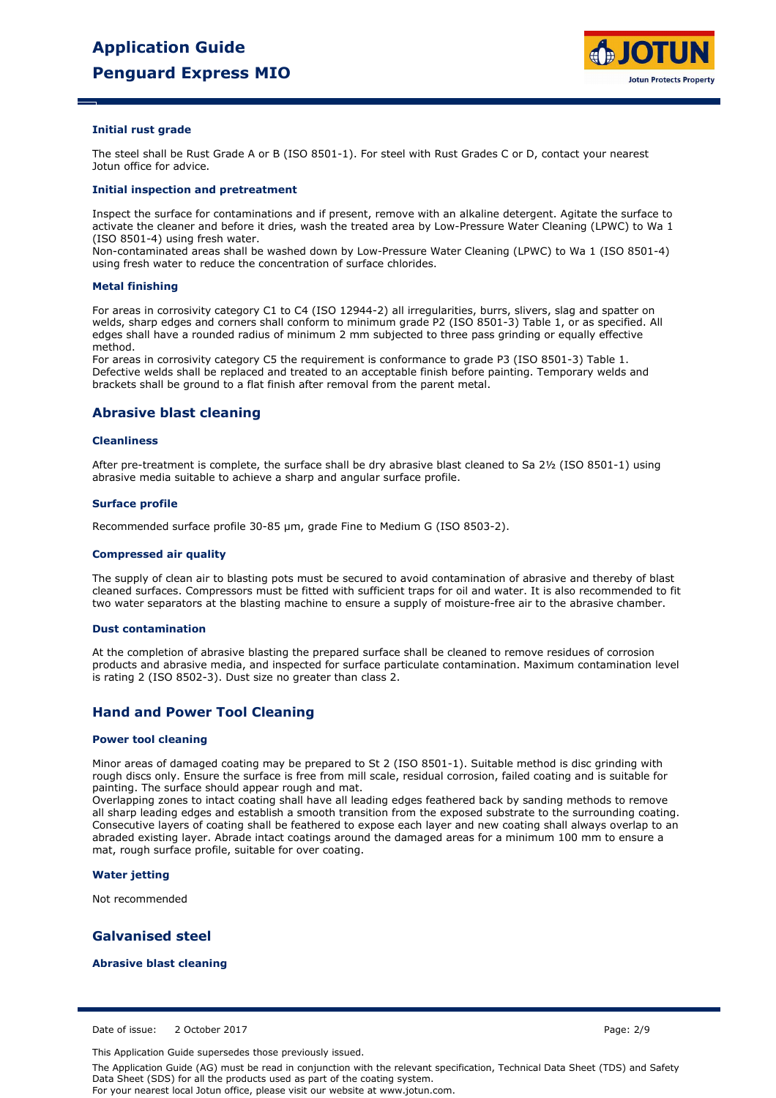

#### **Initial rust grade**

The steel shall be Rust Grade A or B (ISO 8501-1). For steel with Rust Grades C or D, contact your nearest Jotun office for advice.

#### **Initial inspection and pretreatment**

Inspect the surface for contaminations and if present, remove with an alkaline detergent. Agitate the surface to activate the cleaner and before it dries, wash the treated area by Low-Pressure Water Cleaning (LPWC) to Wa 1 (ISO 8501-4) using fresh water.

Non-contaminated areas shall be washed down by Low-Pressure Water Cleaning (LPWC) to Wa 1 (ISO 8501-4) using fresh water to reduce the concentration of surface chlorides.

#### **Metal finishing**

For areas in corrosivity category C1 to C4 (ISO 12944-2) all irregularities, burrs, slivers, slag and spatter on welds, sharp edges and corners shall conform to minimum grade P2 (ISO 8501-3) Table 1, or as specified. All edges shall have a rounded radius of minimum 2 mm subjected to three pass grinding or equally effective method.

For areas in corrosivity category C5 the requirement is conformance to grade P3 (ISO 8501-3) Table 1. Defective welds shall be replaced and treated to an acceptable finish before painting. Temporary welds and brackets shall be ground to a flat finish after removal from the parent metal.

### **Abrasive blast cleaning**

#### **Cleanliness**

After pre-treatment is complete, the surface shall be dry abrasive blast cleaned to Sa 2½ (ISO 8501-1) using abrasive media suitable to achieve a sharp and angular surface profile.

#### **Surface profile**

Recommended surface profile 30-85 µm, grade Fine to Medium G (ISO 8503-2).

#### **Compressed air quality**

The supply of clean air to blasting pots must be secured to avoid contamination of abrasive and thereby of blast cleaned surfaces. Compressors must be fitted with sufficient traps for oil and water. It is also recommended to fit two water separators at the blasting machine to ensure a supply of moisture-free air to the abrasive chamber.

#### **Dust contamination**

At the completion of abrasive blasting the prepared surface shall be cleaned to remove residues of corrosion products and abrasive media, and inspected for surface particulate contamination. Maximum contamination level is rating 2 (ISO 8502-3). Dust size no greater than class 2.

## **Hand and Power Tool Cleaning**

#### **Power tool cleaning**

Minor areas of damaged coating may be prepared to St 2 (ISO 8501-1). Suitable method is disc grinding with rough discs only. Ensure the surface is free from mill scale, residual corrosion, failed coating and is suitable for painting. The surface should appear rough and mat.

Overlapping zones to intact coating shall have all leading edges feathered back by sanding methods to remove all sharp leading edges and establish a smooth transition from the exposed substrate to the surrounding coating. Consecutive layers of coating shall be feathered to expose each layer and new coating shall always overlap to an abraded existing layer. Abrade intact coatings around the damaged areas for a minimum 100 mm to ensure a mat, rough surface profile, suitable for over coating.

#### **Water jetting**

Not recommended

## **Galvanised steel**

### **Abrasive blast cleaning**

Date of issue: 2 October 2017 **Page: 2/9** 

This Application Guide supersedes those previously issued.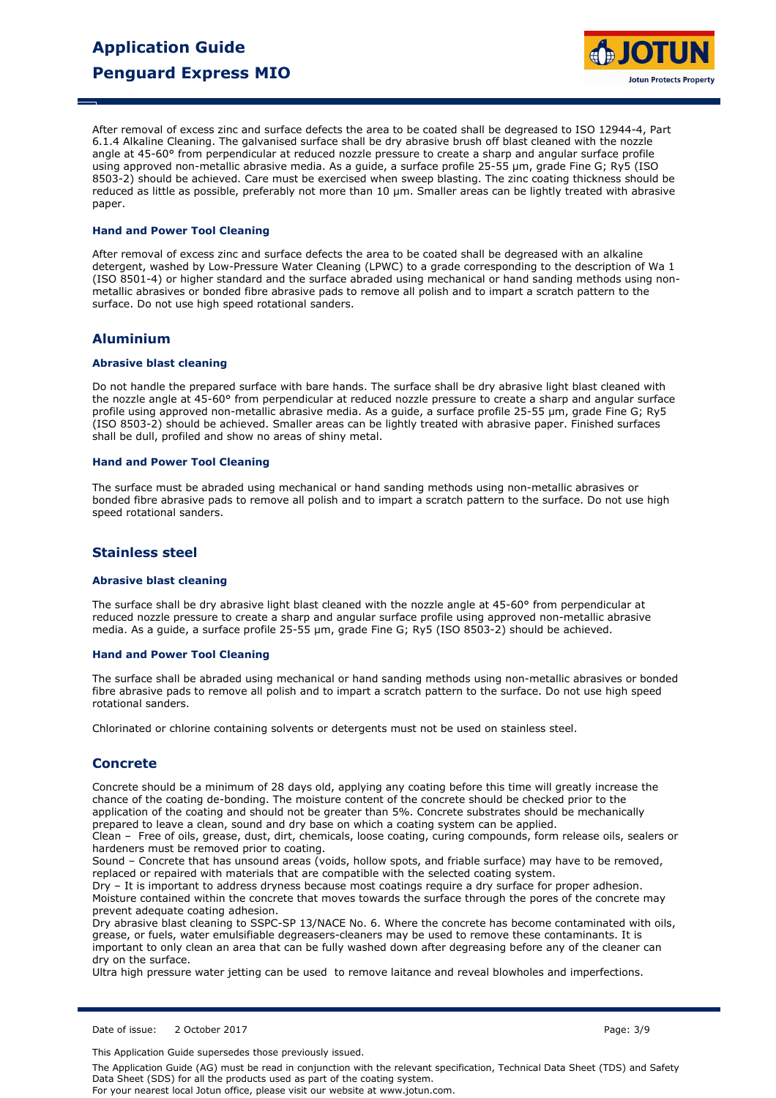

After removal of excess zinc and surface defects the area to be coated shall be degreased to ISO 12944-4, Part 6.1.4 Alkaline Cleaning. The galvanised surface shall be dry abrasive brush off blast cleaned with the nozzle angle at 45-60° from perpendicular at reduced nozzle pressure to create a sharp and angular surface profile using approved non-metallic abrasive media. As a guide, a surface profile 25-55 µm, grade Fine G; Ry5 (ISO) 8503-2) should be achieved. Care must be exercised when sweep blasting. The zinc coating thickness should be reduced as little as possible, preferably not more than 10 µm. Smaller areas can be lightly treated with abrasive paper.

#### **Hand and Power Tool Cleaning**

After removal of excess zinc and surface defects the area to be coated shall be degreased with an alkaline detergent, washed by Low-Pressure Water Cleaning (LPWC) to a grade corresponding to the description of Wa 1 (ISO 8501-4) or higher standard and the surface abraded using mechanical or hand sanding methods using nonmetallic abrasives or bonded fibre abrasive pads to remove all polish and to impart a scratch pattern to the surface. Do not use high speed rotational sanders.

## **Aluminium**

### **Abrasive blast cleaning**

Do not handle the prepared surface with bare hands. The surface shall be dry abrasive light blast cleaned with the nozzle angle at 45-60° from perpendicular at reduced nozzle pressure to create a sharp and angular surface profile using approved non-metallic abrasive media. As a guide, a surface profile 25-55 µm, grade Fine G; Ry5 (ISO 8503-2) should be achieved. Smaller areas can be lightly treated with abrasive paper. Finished surfaces shall be dull, profiled and show no areas of shiny metal.

### **Hand and Power Tool Cleaning**

The surface must be abraded using mechanical or hand sanding methods using non-metallic abrasives or bonded fibre abrasive pads to remove all polish and to impart a scratch pattern to the surface. Do not use high speed rotational sanders.

## **Stainless steel**

#### **Abrasive blast cleaning**

The surface shall be dry abrasive light blast cleaned with the nozzle angle at 45-60° from perpendicular at reduced nozzle pressure to create a sharp and angular surface profile using approved non-metallic abrasive media. As a guide, a surface profile 25-55 µm, grade Fine G; Ry5 (ISO 8503-2) should be achieved.

#### **Hand and Power Tool Cleaning**

The surface shall be abraded using mechanical or hand sanding methods using non-metallic abrasives or bonded fibre abrasive pads to remove all polish and to impart a scratch pattern to the surface. Do not use high speed rotational sanders.

Chlorinated or chlorine containing solvents or detergents must not be used on stainless steel.

## **Concrete**

Concrete should be a minimum of 28 days old, applying any coating before this time will greatly increase the chance of the coating de-bonding. The moisture content of the concrete should be checked prior to the application of the coating and should not be greater than 5%. Concrete substrates should be mechanically prepared to leave a clean, sound and dry base on which a coating system can be applied.

Clean – Free of oils, grease, dust, dirt, chemicals, loose coating, curing compounds, form release oils, sealers or hardeners must be removed prior to coating.

Sound – Concrete that has unsound areas (voids, hollow spots, and friable surface) may have to be removed, replaced or repaired with materials that are compatible with the selected coating system.

Dry – It is important to address dryness because most coatings require a dry surface for proper adhesion. Moisture contained within the concrete that moves towards the surface through the pores of the concrete may prevent adequate coating adhesion.

Dry abrasive blast cleaning to SSPC-SP 13/NACE No. 6. Where the concrete has become contaminated with oils, grease, or fuels, water emulsifiable degreasers-cleaners may be used to remove these contaminants. It is important to only clean an area that can be fully washed down after degreasing before any of the cleaner can dry on the surface.

Ultra high pressure water jetting can be used to remove laitance and reveal blowholes and imperfections.

Date of issue: 2 October 2017 Page: 3/9

This Application Guide supersedes those previously issued.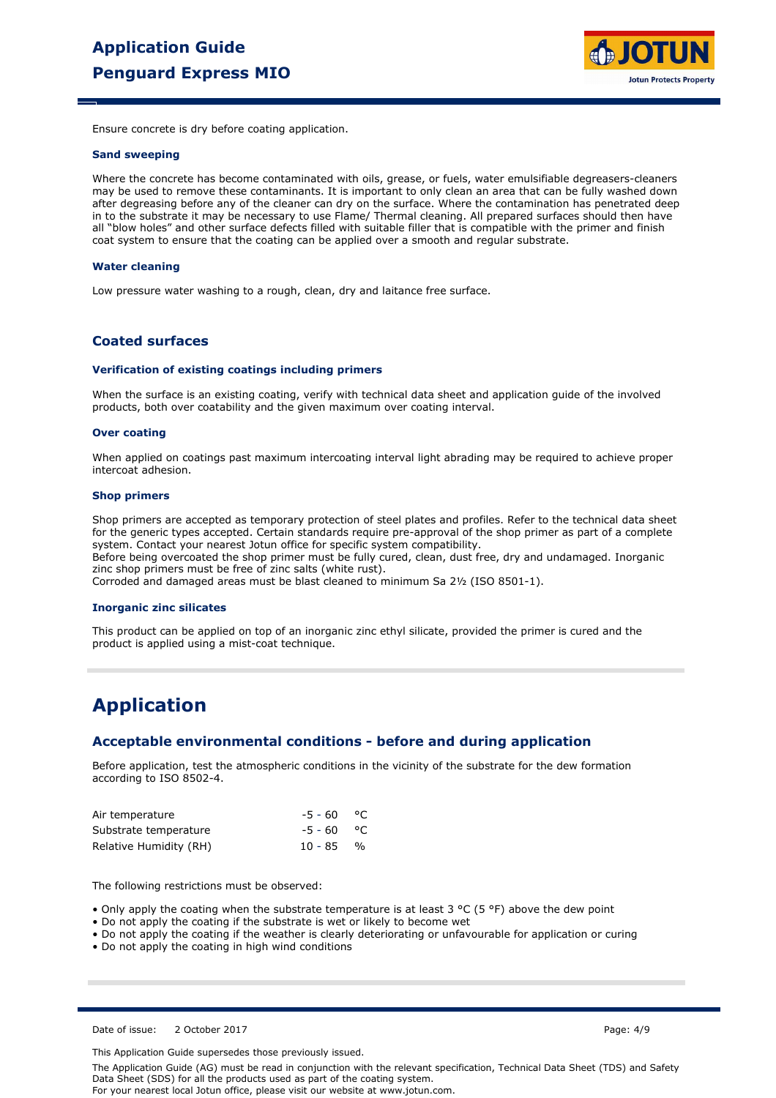

Ensure concrete is dry before coating application.

#### **Sand sweeping**

Where the concrete has become contaminated with oils, grease, or fuels, water emulsifiable degreasers-cleaners may be used to remove these contaminants. It is important to only clean an area that can be fully washed down after degreasing before any of the cleaner can dry on the surface. Where the contamination has penetrated deep in to the substrate it may be necessary to use Flame/ Thermal cleaning. All prepared surfaces should then have all "blow holes" and other surface defects filled with suitable filler that is compatible with the primer and finish coat system to ensure that the coating can be applied over a smooth and regular substrate.

#### **Water cleaning**

Low pressure water washing to a rough, clean, dry and laitance free surface.

## **Coated surfaces**

#### **Verification of existing coatings including primers**

When the surface is an existing coating, verify with technical data sheet and application guide of the involved products, both over coatability and the given maximum over coating interval.

#### **Over coating**

When applied on coatings past maximum intercoating interval light abrading may be required to achieve proper intercoat adhesion.

#### **Shop primers**

Shop primers are accepted as temporary protection of steel plates and profiles. Refer to the technical data sheet for the generic types accepted. Certain standards require pre-approval of the shop primer as part of a complete system. Contact your nearest Jotun office for specific system compatibility. Before being overcoated the shop primer must be fully cured, clean, dust free, dry and undamaged. Inorganic zinc shop primers must be free of zinc salts (white rust).

Corroded and damaged areas must be blast cleaned to minimum Sa 2½ (ISO 8501-1).

#### **Inorganic zinc silicates**

This product can be applied on top of an inorganic zinc ethyl silicate, provided the primer is cured and the product is applied using a mist-coat technique.

## **Application**

### **Acceptable environmental conditions - before and during application**

Before application, test the atmospheric conditions in the vicinity of the substrate for the dew formation according to ISO 8502-4.

| Air temperature        | $-5 - 60$ °C |  |
|------------------------|--------------|--|
| Substrate temperature  | $-5 - 60$ °C |  |
| Relative Humidity (RH) | $10 - 85$ %  |  |

The following restrictions must be observed:

• Only apply the coating when the substrate temperature is at least 3 °C (5 °F) above the dew point

- Do not apply the coating if the substrate is wet or likely to become wet
- Do not apply the coating if the weather is clearly deteriorating or unfavourable for application or curing

• Do not apply the coating in high wind conditions

Date of issue: 2 October 2017 **Page: 4/9** 

This Application Guide supersedes those previously issued.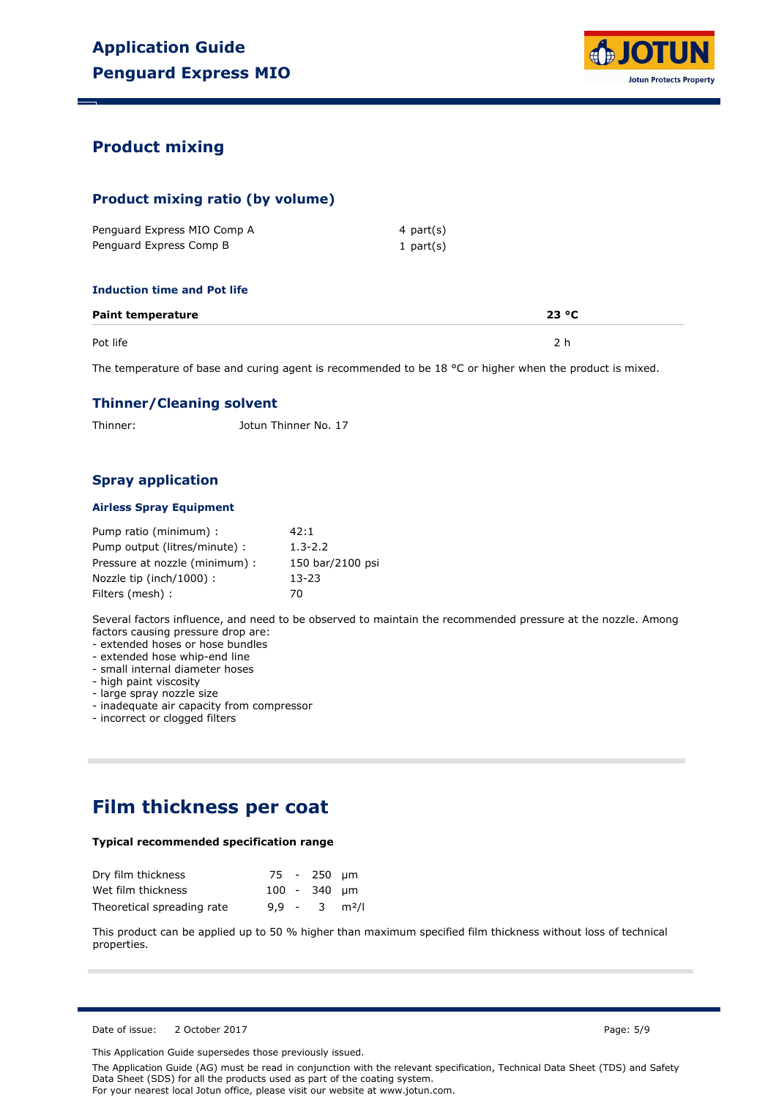

## **Product mixing**

## **Product mixing ratio (by volume)**

| Penguard Express MIO Comp A | 4 part(s)   |
|-----------------------------|-------------|
| Penguard Express Comp B     | 1 $part(s)$ |

### **Induction time and Pot life**

| <b>Paint temperature</b> | 23 °C |
|--------------------------|-------|
| Pot life                 |       |

The temperature of base and curing agent is recommended to be 18 °C or higher when the product is mixed.

## **Thinner/Cleaning solvent**

Thinner: Jotun Thinner No. 17

## **Spray application**

### **Airless Spray Equipment**

| Pump ratio (minimum) :         | 42:1             |
|--------------------------------|------------------|
| Pump output (litres/minute) :  | $1.3 - 2.2$      |
| Pressure at nozzle (minimum) : | 150 bar/2100 psi |
| Nozzle tip (inch/1000) :       | 13-23            |
| Filters (mesh) :               | 70               |

Several factors influence, and need to be observed to maintain the recommended pressure at the nozzle. Among factors causing pressure drop are:

- extended hoses or hose bundles

- extended hose whip-end line

- small internal diameter hoses

- high paint viscosity

- large spray nozzle size

- inadequate air capacity from compressor

- incorrect or clogged filters

## **Film thickness per coat**

### **Typical recommended specification range**

| Dry film thickness         |  | 75 - 250 um                 |  |
|----------------------------|--|-----------------------------|--|
| Wet film thickness         |  | $100 - 340$ µm              |  |
| Theoretical spreading rate |  | $9.9 - 3$ m <sup>2</sup> /l |  |

This product can be applied up to 50 % higher than maximum specified film thickness without loss of technical properties.

Date of issue: 2 October 2017 **Page: 5/9** Page: 5/9

This Application Guide supersedes those previously issued.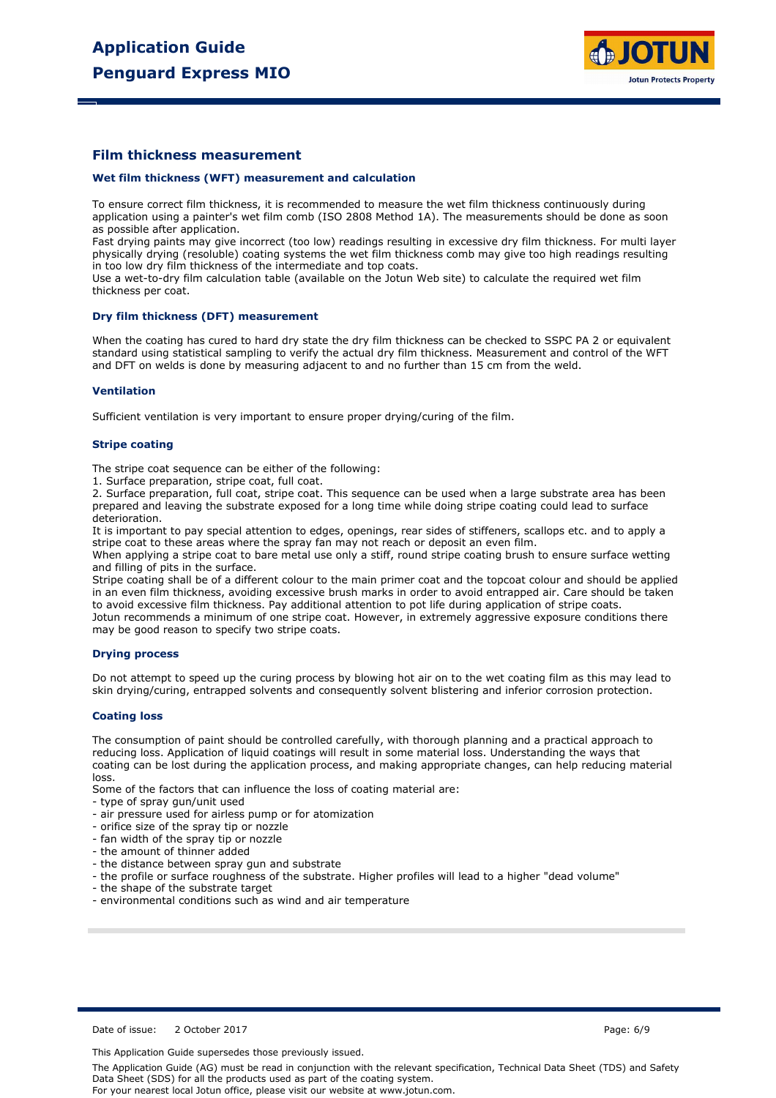

## **Film thickness measurement**

#### **Wet film thickness (WFT) measurement and calculation**

To ensure correct film thickness, it is recommended to measure the wet film thickness continuously during application using a painter's wet film comb (ISO 2808 Method 1A). The measurements should be done as soon as possible after application.

Fast drying paints may give incorrect (too low) readings resulting in excessive dry film thickness. For multi layer physically drying (resoluble) coating systems the wet film thickness comb may give too high readings resulting in too low dry film thickness of the intermediate and top coats.

Use a wet-to-dry film calculation table (available on the Jotun Web site) to calculate the required wet film thickness per coat.

#### **Dry film thickness (DFT) measurement**

When the coating has cured to hard dry state the dry film thickness can be checked to SSPC PA 2 or equivalent standard using statistical sampling to verify the actual dry film thickness. Measurement and control of the WFT and DFT on welds is done by measuring adjacent to and no further than 15 cm from the weld.

### **Ventilation**

Sufficient ventilation is very important to ensure proper drying/curing of the film.

#### **Stripe coating**

The stripe coat sequence can be either of the following:

1. Surface preparation, stripe coat, full coat.

2. Surface preparation, full coat, stripe coat. This sequence can be used when a large substrate area has been prepared and leaving the substrate exposed for a long time while doing stripe coating could lead to surface deterioration.

It is important to pay special attention to edges, openings, rear sides of stiffeners, scallops etc. and to apply a stripe coat to these areas where the spray fan may not reach or deposit an even film.

When applying a stripe coat to bare metal use only a stiff, round stripe coating brush to ensure surface wetting and filling of pits in the surface.

Stripe coating shall be of a different colour to the main primer coat and the topcoat colour and should be applied in an even film thickness, avoiding excessive brush marks in order to avoid entrapped air. Care should be taken to avoid excessive film thickness. Pay additional attention to pot life during application of stripe coats. Jotun recommends a minimum of one stripe coat. However, in extremely aggressive exposure conditions there may be good reason to specify two stripe coats.

#### **Drying process**

Do not attempt to speed up the curing process by blowing hot air on to the wet coating film as this may lead to skin drying/curing, entrapped solvents and consequently solvent blistering and inferior corrosion protection.

#### **Coating loss**

The consumption of paint should be controlled carefully, with thorough planning and a practical approach to reducing loss. Application of liquid coatings will result in some material loss. Understanding the ways that coating can be lost during the application process, and making appropriate changes, can help reducing material loss.

Some of the factors that can influence the loss of coating material are:

- type of spray gun/unit used
- air pressure used for airless pump or for atomization
- orifice size of the spray tip or nozzle
- fan width of the spray tip or nozzle
- the amount of thinner added
- the distance between spray gun and substrate
- the profile or surface roughness of the substrate. Higher profiles will lead to a higher "dead volume"
- the shape of the substrate target
- environmental conditions such as wind and air temperature

Date of issue: 2 October 2017 **Page: 6/9** 

This Application Guide supersedes those previously issued.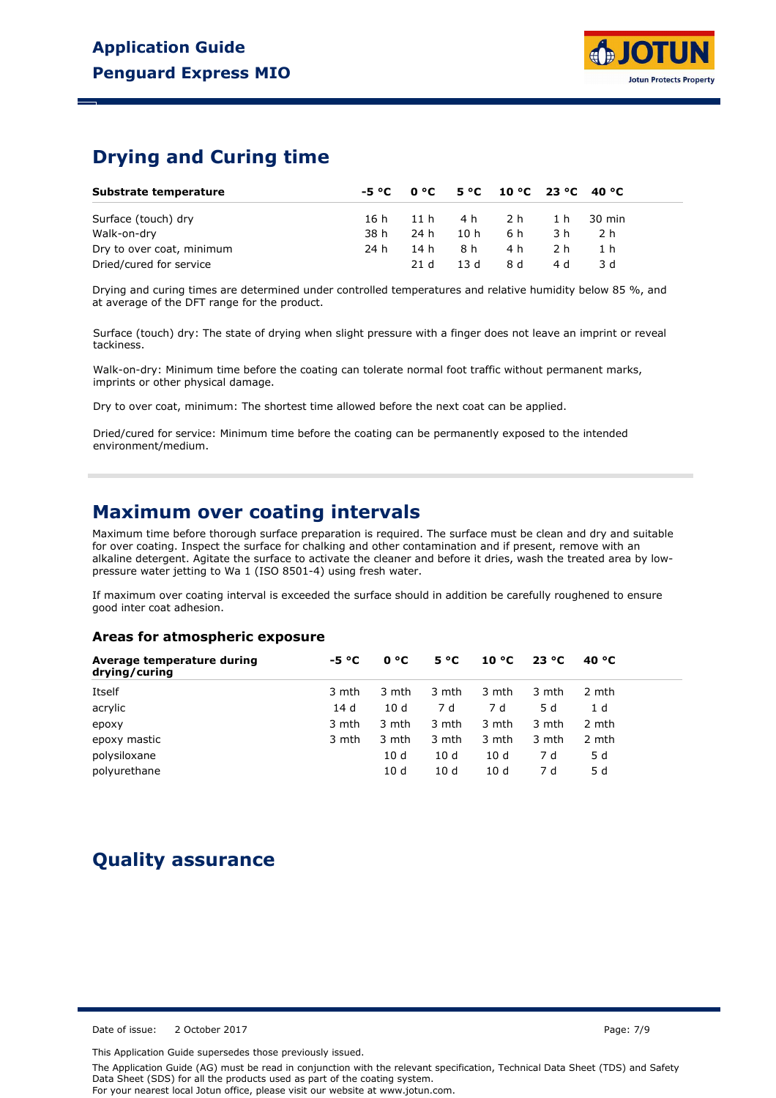## **Drying and Curing time**

| Substrate temperature     |      |      |      | $-5 °C$ 0 °C $-5 °C$ 10 °C 23 °C 40 °C |     |            |  |
|---------------------------|------|------|------|----------------------------------------|-----|------------|--|
| Surface (touch) dry       | 16 h |      |      | 11h 4h 2h                              |     | 1 h 30 min |  |
| Walk-on-dry               | 38 h | 24 h | 10 h | 6 h                                    | 3 h | 2 h        |  |
| Dry to over coat, minimum | 24 h | 14 h | 8 h  | 4 h                                    | 2 h | 1 h        |  |
| Dried/cured for service   |      | 21 d | 13 d | 8 d                                    | 4 d | 3 d        |  |

Drying and curing times are determined under controlled temperatures and relative humidity below 85 %, and at average of the DFT range for the product.

Surface (touch) dry: The state of drying when slight pressure with a finger does not leave an imprint or reveal tackiness.

Walk-on-dry: Minimum time before the coating can tolerate normal foot traffic without permanent marks, imprints or other physical damage.

Dry to over coat, minimum: The shortest time allowed before the next coat can be applied.

Dried/cured for service: Minimum time before the coating can be permanently exposed to the intended environment/medium.

## **Maximum over coating intervals**

Maximum time before thorough surface preparation is required. The surface must be clean and dry and suitable for over coating. Inspect the surface for chalking and other contamination and if present, remove with an alkaline detergent. Agitate the surface to activate the cleaner and before it dries, wash the treated area by lowpressure water jetting to Wa 1 (ISO 8501-4) using fresh water.

If maximum over coating interval is exceeded the surface should in addition be carefully roughened to ensure good inter coat adhesion.

## **Areas for atmospheric exposure**

| Average temperature during<br>drying/curing | -5 °C | 0 °C  | 5 °C  | 10 °C | 23 °C | 40 °C |
|---------------------------------------------|-------|-------|-------|-------|-------|-------|
| Itself                                      | 3 mth | 3 mth | 3 mth | 3 mth | 3 mth | 2 mth |
| acrylic                                     | 14 d  | 10d   | 7 d   | 7 d   | 5 d   | 1 d   |
| epoxy                                       | 3 mth | 3 mth | 3 mth | 3 mth | 3 mth | 2 mth |
| epoxy mastic                                | 3 mth | 3 mth | 3 mth | 3 mth | 3 mth | 2 mth |
| polysiloxane                                |       | 10 d  | 10d   | 10 d  | 7 d   | 5 d   |
| polyurethane                                |       | 10 d  | 10d   | 10 d  | 7 d   | 5 d   |

# **Quality assurance**

Date of issue: 2 October 2017 **Page: 7/9** Page: 7/9

This Application Guide supersedes those previously issued.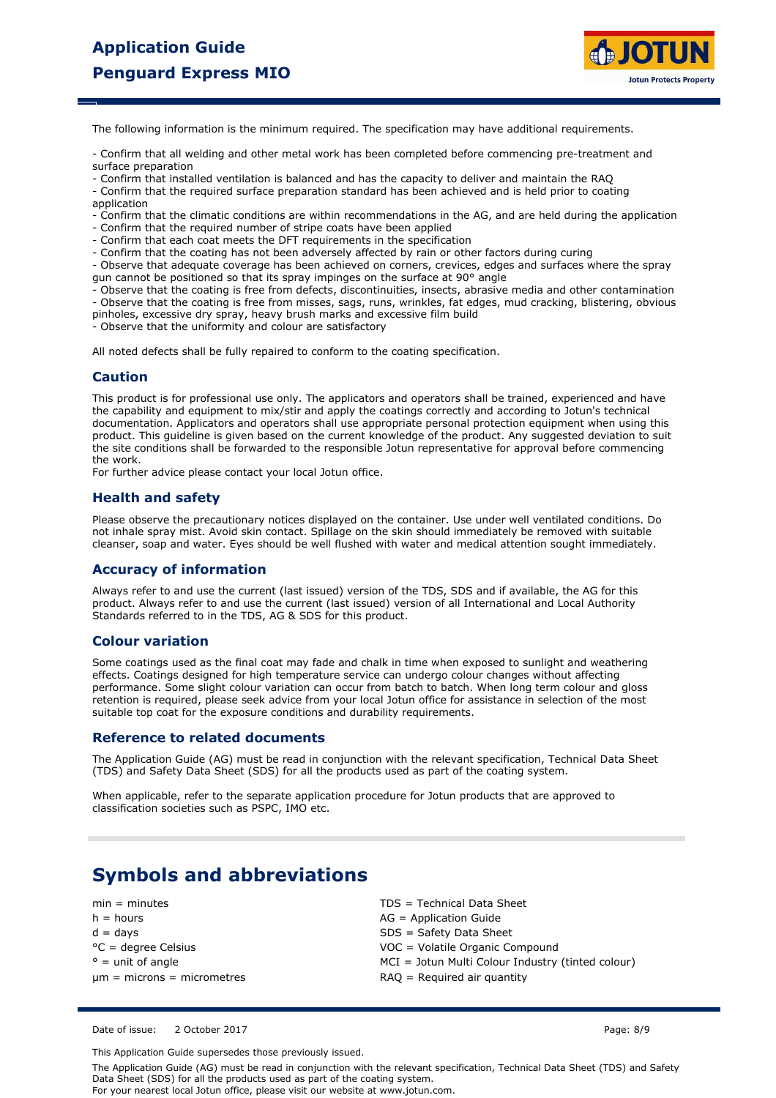

The following information is the minimum required. The specification may have additional requirements.

- Confirm that all welding and other metal work has been completed before commencing pre-treatment and surface preparation

- Confirm that installed ventilation is balanced and has the capacity to deliver and maintain the RAQ - Confirm that the required surface preparation standard has been achieved and is held prior to coating

application

- Confirm that the climatic conditions are within recommendations in the AG, and are held during the application

- Confirm that the required number of stripe coats have been applied
- Confirm that each coat meets the DFT requirements in the specification
- Confirm that the coating has not been adversely affected by rain or other factors during curing

- Observe that adequate coverage has been achieved on corners, crevices, edges and surfaces where the spray gun cannot be positioned so that its spray impinges on the surface at 90° angle

- Observe that the coating is free from defects, discontinuities, insects, abrasive media and other contamination - Observe that the coating is free from misses, sags, runs, wrinkles, fat edges, mud cracking, blistering, obvious pinholes, excessive dry spray, heavy brush marks and excessive film build

- Observe that the uniformity and colour are satisfactory

All noted defects shall be fully repaired to conform to the coating specification.

## **Caution**

This product is for professional use only. The applicators and operators shall be trained, experienced and have the capability and equipment to mix/stir and apply the coatings correctly and according to Jotun's technical documentation. Applicators and operators shall use appropriate personal protection equipment when using this product. This guideline is given based on the current knowledge of the product. Any suggested deviation to suit the site conditions shall be forwarded to the responsible Jotun representative for approval before commencing the work.

For further advice please contact your local Jotun office.

## **Health and safety**

Please observe the precautionary notices displayed on the container. Use under well ventilated conditions. Do not inhale spray mist. Avoid skin contact. Spillage on the skin should immediately be removed with suitable cleanser, soap and water. Eyes should be well flushed with water and medical attention sought immediately.

## **Accuracy of information**

Always refer to and use the current (last issued) version of the TDS, SDS and if available, the AG for this product. Always refer to and use the current (last issued) version of all International and Local Authority Standards referred to in the TDS, AG & SDS for this product.

### **Colour variation**

Some coatings used as the final coat may fade and chalk in time when exposed to sunlight and weathering effects. Coatings designed for high temperature service can undergo colour changes without affecting performance. Some slight colour variation can occur from batch to batch. When long term colour and gloss retention is required, please seek advice from your local Jotun office for assistance in selection of the most suitable top coat for the exposure conditions and durability requirements.

### **Reference to related documents**

The Application Guide (AG) must be read in conjunction with the relevant specification, Technical Data Sheet (TDS) and Safety Data Sheet (SDS) for all the products used as part of the coating system.

When applicable, refer to the separate application procedure for Jotun products that are approved to classification societies such as PSPC, IMO etc.

# **Symbols and abbreviations**

 $h =$  hours  $AG =$  Application Guide  $d = days$  $° =$  unit of angle °C = degree Celsius  $um = microns = micrometers$ 

min = minutes TDS = Technical Data Sheet SDS = Safety Data Sheet MCI = Jotun Multi Colour Industry (tinted colour) VOC = Volatile Organic Compound RAQ = Required air quantity

Date of issue: 2 October 2017 **Page: 8/9** 

This Application Guide supersedes those previously issued.